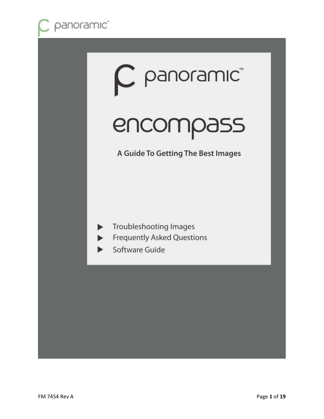

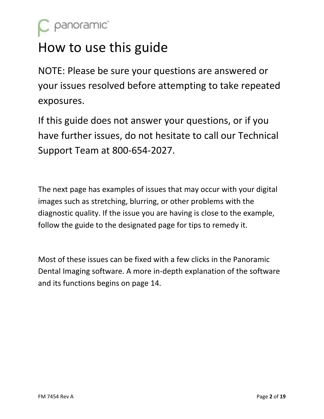

## How to use this guide

NOTE: Please be sure your questions are answered or your issues resolved before attempting to take repeated exposures.

If this guide does not answer your questions, or if you have further issues, do not hesitate to call our Technical Support Team at 800-654-2027.

The next page has examples of issues that may occur with your digital images such as stretching, blurring, or other problems with the diagnostic quality. If the issue you are having is close to the example, follow the guide to the designated page for tips to remedy it.

Most of these issues can be fixed with a few clicks in the Panoramic Dental Imaging software. A more in-depth explanation of the software and its functions begins on page 14.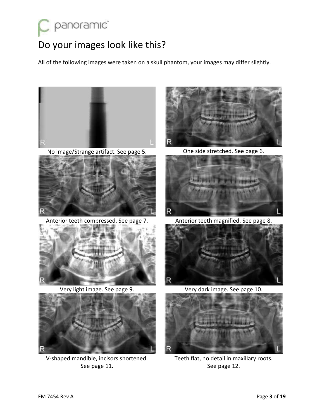# panoramic<sup>®</sup>

## Do your images look like this?

All of the following images were taken on a skull phantom, your images may differ slightly.



No image/Strange artifact. See page 5. One side stretched. See page 6.



Anterior teeth compressed. See page 7. Anterior teeth magnified. See page 8.





V-shaped mandible, incisors shortened. See page 11.







Very light image. See page 9. Very dark image. See page 10.



Teeth flat, no detail in maxillary roots. See page 12.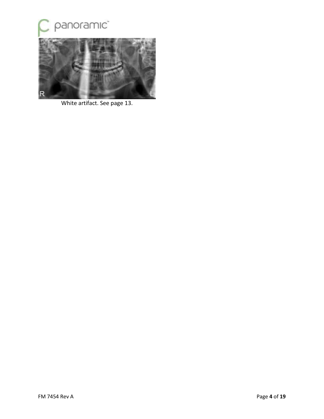

White artifact. See page 13.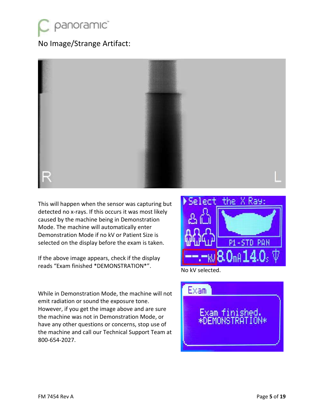

#### No Image/Strange Artifact:



This will happen when the sensor was capturing but detected no x-rays. If this occurs it was most likely caused by the machine being in Demonstration Mode. The machine will automatically enter Demonstration Mode if no kV or Patient Size is selected on the display before the exam is taken.

If the above image appears, check if the display reads "Exam finished \*DEMONSTRATION\*". No kV selected.

While in Demonstration Mode, the machine will not emit radiation or sound the exposure tone. However, if you get the image above and are sure the machine was not in Demonstration Mode, or have any other questions or concerns, stop use of the machine and call our Technical Support Team at 800-654-2027.



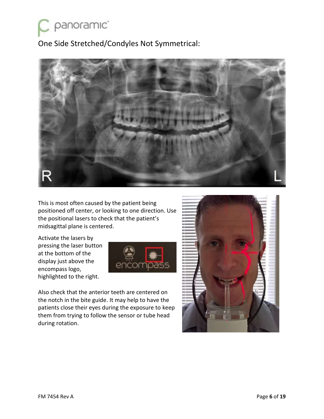panoramic<sup>®</sup>

One Side Stretched/Condyles Not Symmetrical:



This is most often caused by the patient being positioned off center, or looking to one direction. Use the positional lasers to check that the patient's midsagittal plane is centered.

Activate the lasers by pressing the laser button at the bottom of the display just above the encompass logo, highlighted to the right.



Also check that the anterior teeth are centered on the notch in the bite guide. It may help to have the patients close their eyes during the exposure to keep them from trying to follow the sensor or tube head during rotation.

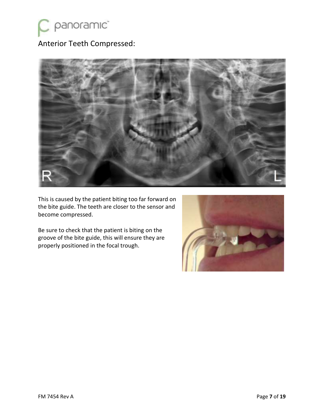

### Anterior Teeth Compressed:



This is caused by the patient biting too far forward on the bite guide. The teeth are closer to the sensor and become compressed.

Be sure to check that the patient is biting on the groove of the bite guide, this will ensure they are properly positioned in the focal trough.

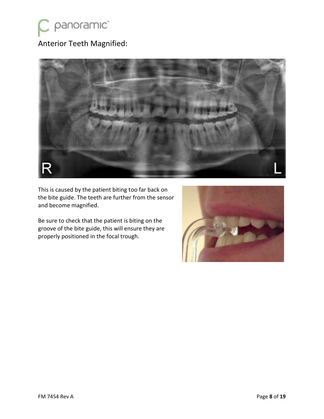

### Anterior Teeth Magnified:



This is caused by the patient biting too far back on the bite guide. The teeth are further from the sensor and become magnified.

Be sure to check that the patient is biting on the groove of the bite guide, this will ensure they are properly positioned in the focal trough.

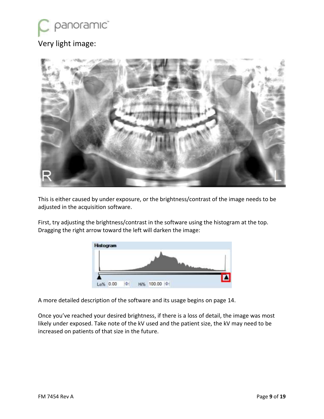## panoramic<sup>"</sup> Very light image:



This is either caused by under exposure, or the brightness/contrast of the image needs to be adjusted in the acquisition software.

First, try adjusting the brightness/contrast in the software using the histogram at the top. Dragging the right arrow toward the left will darken the image:



A more detailed description of the software and its usage begins on page 14.

Once you've reached your desired brightness, if there is a loss of detail, the image was most likely under exposed. Take note of the kV used and the patient size, the kV may need to be increased on patients of that size in the future.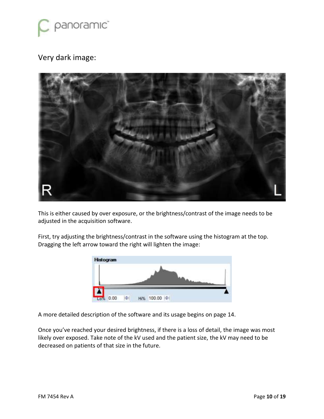

#### Very dark image:



This is either caused by over exposure, or the brightness/contrast of the image needs to be adjusted in the acquisition software.

First, try adjusting the brightness/contrast in the software using the histogram at the top. Dragging the left arrow toward the right will lighten the image:



A more detailed description of the software and its usage begins on page 14.

Once you've reached your desired brightness, if there is a loss of detail, the image was most likely over exposed. Take note of the kV used and the patient size, the kV may need to be decreased on patients of that size in the future.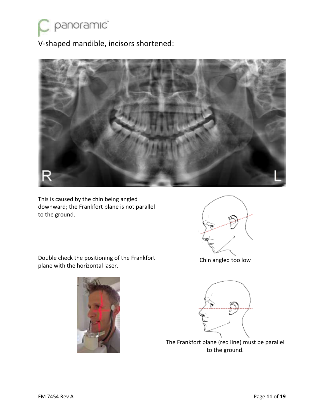

V-shaped mandible, incisors shortened:



This is caused by the chin being angled downward; the Frankfort plane is not parallel to the ground.



Double check the positioning of the Frankfort plane with the horizontal laser.



Chin angled too low



The Frankfort plane (red line) must be parallel to the ground.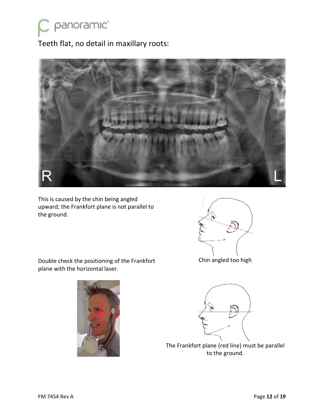

Teeth flat, no detail in maxillary roots:



This is caused by the chin being angled upward; the Frankfort plane is not parallel to the ground.

Double check the positioning of the Frankfort



Chin angled too high





The Frankfort plane (red line) must be parallel to the ground.

plane with the horizontal laser.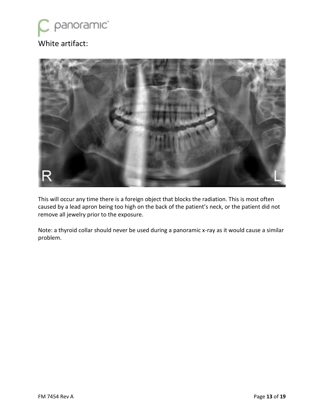

### White artifact:



This will occur any time there is a foreign object that blocks the radiation. This is most often caused by a lead apron being too high on the back of the patient's neck, or the patient did not remove all jewelry prior to the exposure.

Note: a thyroid collar should never be used during a panoramic x-ray as it would cause a similar problem.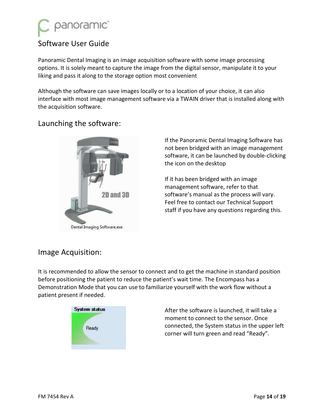

#### Software User Guide

Panoramic Dental Imaging is an image acquisition software with some image processing options. It is solely meant to capture the image from the digital sensor, manipulate it to your liking and pass it along to the storage option most convenient

Although the software can save images locally or to a location of your choice, it can also interface with most image management software via a TWAIN driver that is installed along with the acquisition software.

#### Launching the software:



Dental Imaging Software.exe

If the Panoramic Dental Imaging Software has not been bridged with an image management software, it can be launched by double-clicking the icon on the desktop

If it has been bridged with an image management software, refer to that software's manual as the process will vary. Feel free to contact our Technical Support staff if you have any questions regarding this.

#### Image Acquisition:

It is recommended to allow the sensor to connect and to get the machine in standard position before positioning the patient to reduce the patient's wait time. The Encompass has a Demonstration Mode that you can use to familiarize yourself with the work flow without a patient present if needed.



After the software is launched, it will take a moment to connect to the sensor. Once connected, the System status in the upper left corner will turn green and read "Ready".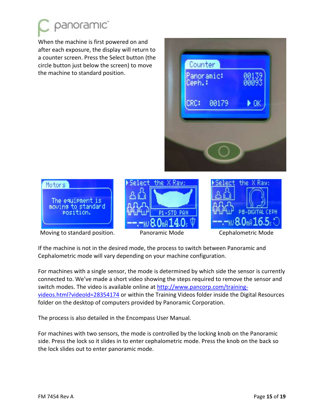

When the machine is first powered on and after each exposure, the display will return to a counter screen. Press the Select button (the circle button just below the screen) to move the machine to standard position.





Moving to standard position. 
Panoramic Mode **Moving to standard position.** Panoramic Mode **Cephalometric Mode** 





If the machine is not in the desired mode, the process to switch between Panoramic and Cephalometric mode will vary depending on your machine configuration.

For machines with a single sensor, the mode is determined by which side the sensor is currently connected to. We've made a short video showing the steps required to remove the sensor and switch modes. The video is available online at [http://www.pancorp.com/training](http://www.pancorp.com/training-videos.html?videoId=28354174)[videos.html?videoId=28354174](http://www.pancorp.com/training-videos.html?videoId=28354174) or within the Training Videos folder inside the Digital Resources folder on the desktop of computers provided by Panoramic Corporation.

The process is also detailed in the Encompass User Manual.

For machines with two sensors, the mode is controlled by the locking knob on the Panoramic side. Press the lock so it slides in to enter cephalometric mode. Press the knob on the back so the lock slides out to enter panoramic mode.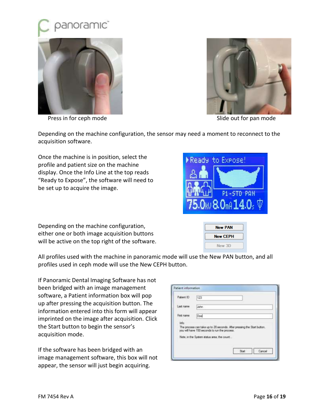



Press in for ceph mode **Solution** Slide out for pan mode



Depending on the machine configuration, the sensor may need a moment to reconnect to the acquisition software.

Once the machine is in position, select the profile and patient size on the machine display. Once the Info Line at the top reads "Ready to Expose", the software will need to be set up to acquire the image.

Depending on the machine configuration, either one or both image acquisition buttons will be active on the top right of the software.

All profiles used with the machine in panoramic mode will use the New PAN button, and all profiles used in ceph mode will use the New CEPH button.

If Panoramic Dental Imaging Software has not been bridged with an image management software, a Patient information box will pop up after pressing the acquisition button. The information entered into this form will appear imprinted on the image after acquisition. Click the Start button to begin the sensor's acquisition mode.

If the software has been bridged with an image management software, this box will not appear, the sensor will just begin acquiring.

| Patient ID | 123                                                                                                                                                                    |
|------------|------------------------------------------------------------------------------------------------------------------------------------------------------------------------|
| Last name  | John                                                                                                                                                                   |
| Fint name  | Doe                                                                                                                                                                    |
| Info       | The process can take up to 20 seconds. After pressing the Start button.<br>you will have 150 seconds to run the process.<br>Note, in the System status area, the count |



New 3D

P1-STD PAN

Ready to Expose!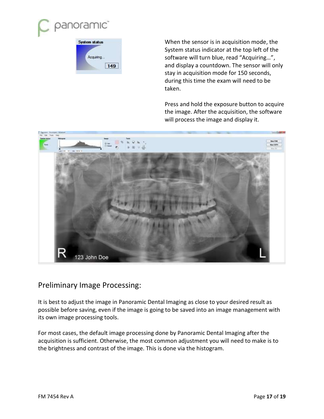

| <b>System status</b> |    |
|----------------------|----|
| Acquiring            |    |
|                      | 49 |

When the sensor is in acquisition mode, the System status indicator at the top left of the software will turn blue, read "Acquiring…", and display a countdown. The sensor will only stay in acquisition mode for 150 seconds, during this time the exam will need to be taken.

Press and hold the exposure button to acquire the image. After the acquisition, the software will process the image and display it.



#### Preliminary Image Processing:

It is best to adjust the image in Panoramic Dental Imaging as close to your desired result as possible before saving, even if the image is going to be saved into an image management with its own image processing tools.

For most cases, the default image processing done by Panoramic Dental Imaging after the acquisition is sufficient. Otherwise, the most common adjustment you will need to make is to the brightness and contrast of the image. This is done via the histogram.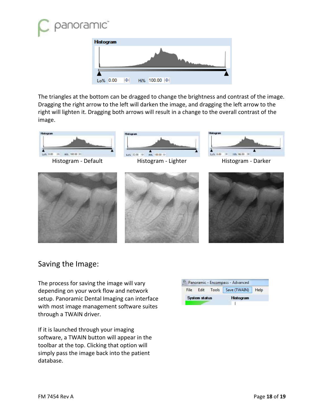



The triangles at the bottom can be dragged to change the brightness and contrast of the image. Dragging the right arrow to the left will darken the image, and dragging the left arrow to the right will lighten it. Dragging both arrows will result in a change to the overall contrast of the image.



#### Saving the Image:

The process for saving the image will vary depending on your work flow and network setup. Panoramic Dental Imaging can interface with most image management software suites through a TWAIN driver.

If it is launched through your imaging software, a TWAIN button will appear in the toolbar at the top. Clicking that option will simply pass the image back into the patient database.

| File |  | Edit Tools   Save (TWAIN) | Help |
|------|--|---------------------------|------|
|      |  |                           |      |